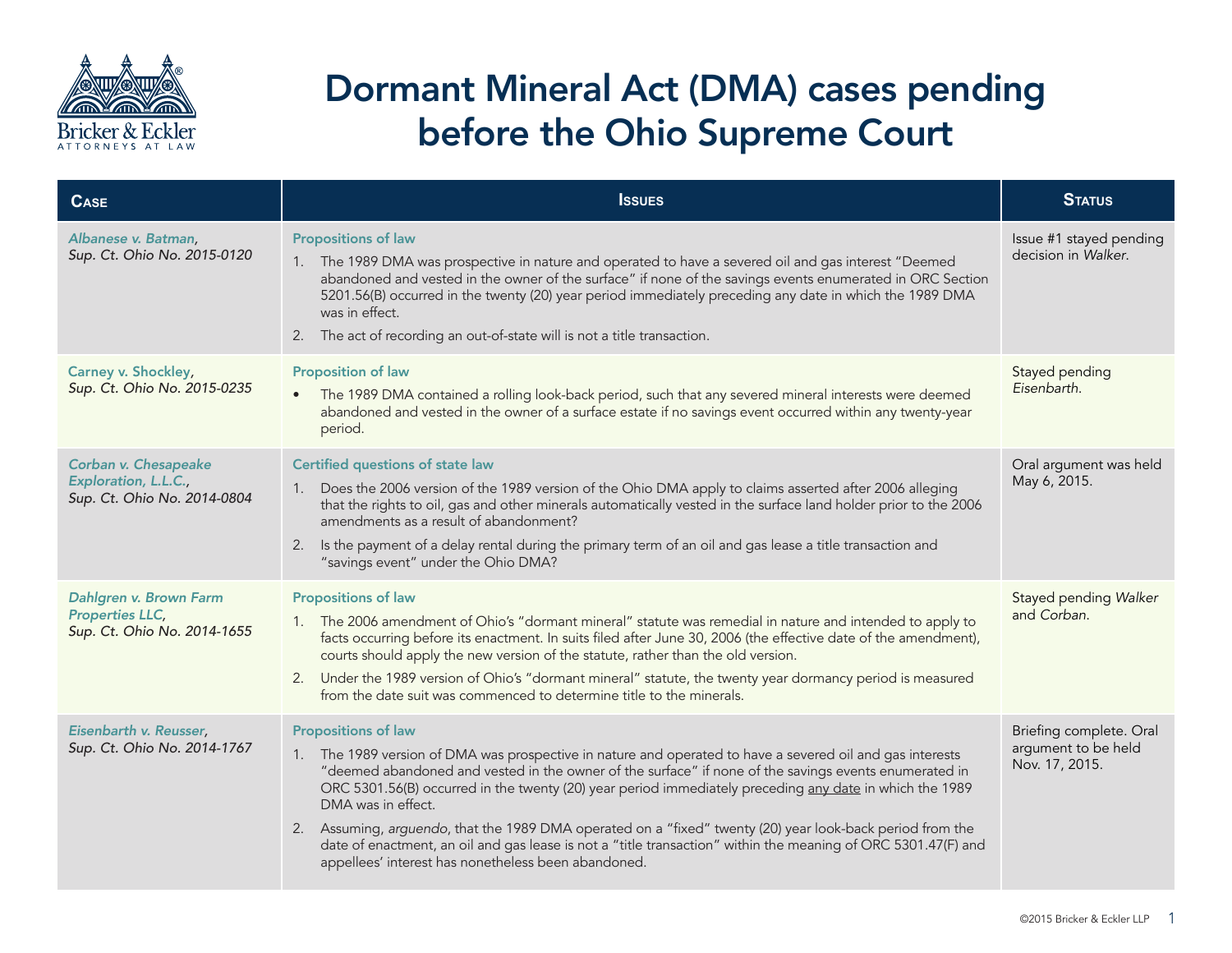

## Dormant Mineral Act (DMA) cases pending before the Ohio Supreme Court

| <b>CASE</b>                                                                     | <b>ISSUES</b>                                                                                                                                                                                                                                                                                                                                                                                                                                                                                                                                                                                                                                                          | <b>STATUS</b>                                                    |
|---------------------------------------------------------------------------------|------------------------------------------------------------------------------------------------------------------------------------------------------------------------------------------------------------------------------------------------------------------------------------------------------------------------------------------------------------------------------------------------------------------------------------------------------------------------------------------------------------------------------------------------------------------------------------------------------------------------------------------------------------------------|------------------------------------------------------------------|
| Albanese v. Batman,<br>Sup. Ct. Ohio No. 2015-0120                              | <b>Propositions of law</b><br>1. The 1989 DMA was prospective in nature and operated to have a severed oil and gas interest "Deemed<br>abandoned and vested in the owner of the surface" if none of the savings events enumerated in ORC Section<br>5201.56(B) occurred in the twenty (20) year period immediately preceding any date in which the 1989 DMA<br>was in effect.<br>2. The act of recording an out-of-state will is not a title transaction.                                                                                                                                                                                                              | Issue #1 stayed pending<br>decision in Walker.                   |
| Carney v. Shockley,<br>Sup. Ct. Ohio No. 2015-0235                              | <b>Proposition of law</b><br>The 1989 DMA contained a rolling look-back period, such that any severed mineral interests were deemed<br>$\bullet$<br>abandoned and vested in the owner of a surface estate if no savings event occurred within any twenty-year<br>period.                                                                                                                                                                                                                                                                                                                                                                                               | Stayed pending<br>Eisenbarth.                                    |
| Corban v. Chesapeake<br>Exploration, L.L.C.,<br>Sup. Ct. Ohio No. 2014-0804     | Certified questions of state law<br>Does the 2006 version of the 1989 version of the Ohio DMA apply to claims asserted after 2006 alleging<br>1.<br>that the rights to oil, gas and other minerals automatically vested in the surface land holder prior to the 2006<br>amendments as a result of abandonment?<br>Is the payment of a delay rental during the primary term of an oil and gas lease a title transaction and<br>2.<br>"savings event" under the Ohio DMA?                                                                                                                                                                                                | Oral argument was held<br>May 6, 2015.                           |
| Dahlgren v. Brown Farm<br><b>Properties LLC,</b><br>Sup. Ct. Ohio No. 2014-1655 | <b>Propositions of law</b><br>1. The 2006 amendment of Ohio's "dormant mineral" statute was remedial in nature and intended to apply to<br>facts occurring before its enactment. In suits filed after June 30, 2006 (the effective date of the amendment),<br>courts should apply the new version of the statute, rather than the old version.<br>Under the 1989 version of Ohio's "dormant mineral" statute, the twenty year dormancy period is measured<br>2.<br>from the date suit was commenced to determine title to the minerals.                                                                                                                                | Stayed pending Walker<br>and Corban.                             |
| Eisenbarth v. Reusser,<br>Sup. Ct. Ohio No. 2014-1767                           | <b>Propositions of law</b><br>1. The 1989 version of DMA was prospective in nature and operated to have a severed oil and gas interests<br>"deemed abandoned and vested in the owner of the surface" if none of the savings events enumerated in<br>ORC 5301.56(B) occurred in the twenty (20) year period immediately preceding any date in which the 1989<br>DMA was in effect.<br>2. Assuming, arguendo, that the 1989 DMA operated on a "fixed" twenty (20) year look-back period from the<br>date of enactment, an oil and gas lease is not a "title transaction" within the meaning of ORC 5301.47(F) and<br>appellees' interest has nonetheless been abandoned. | Briefing complete. Oral<br>argument to be held<br>Nov. 17, 2015. |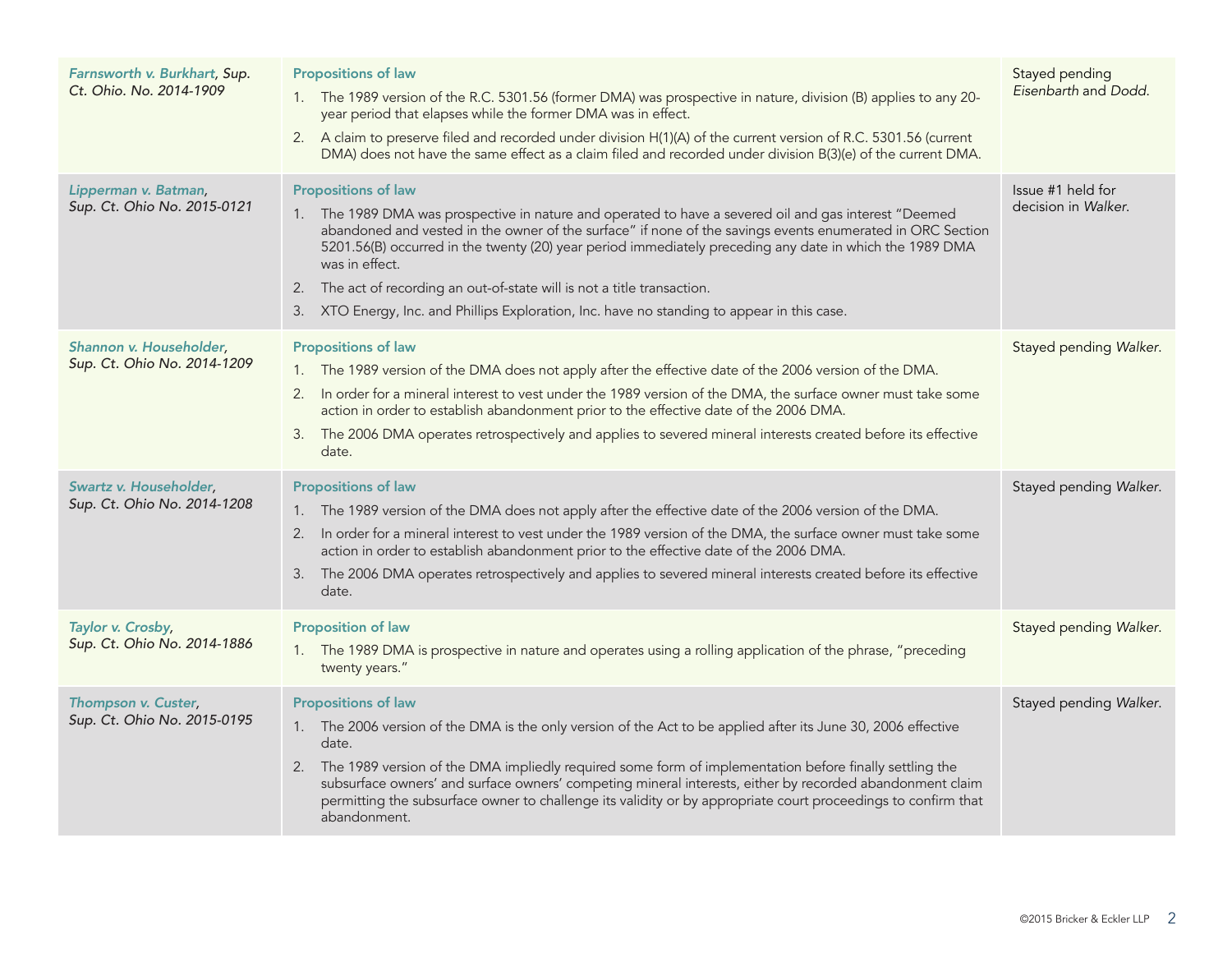| Farnsworth v. Burkhart, Sup.<br>Ct. Ohio. No. 2014-1909 | <b>Propositions of law</b><br>1. The 1989 version of the R.C. 5301.56 (former DMA) was prospective in nature, division (B) applies to any 20-<br>year period that elapses while the former DMA was in effect.<br>2. A claim to preserve filed and recorded under division H(1)(A) of the current version of R.C. 5301.56 (current<br>DMA) does not have the same effect as a claim filed and recorded under division B(3)(e) of the current DMA.                                                                                                         | Stayed pending<br>Eisenbarth and Dodd.   |
|---------------------------------------------------------|----------------------------------------------------------------------------------------------------------------------------------------------------------------------------------------------------------------------------------------------------------------------------------------------------------------------------------------------------------------------------------------------------------------------------------------------------------------------------------------------------------------------------------------------------------|------------------------------------------|
| Lipperman v. Batman,<br>Sup. Ct. Ohio No. 2015-0121     | <b>Propositions of law</b><br>1. The 1989 DMA was prospective in nature and operated to have a severed oil and gas interest "Deemed<br>abandoned and vested in the owner of the surface" if none of the savings events enumerated in ORC Section<br>5201.56(B) occurred in the twenty (20) year period immediately preceding any date in which the 1989 DMA<br>was in effect.<br>2. The act of recording an out-of-state will is not a title transaction.<br>3. XTO Energy, Inc. and Phillips Exploration, Inc. have no standing to appear in this case. | Issue #1 held for<br>decision in Walker. |
| Shannon v. Householder,<br>Sup. Ct. Ohio No. 2014-1209  | <b>Propositions of law</b><br>1. The 1989 version of the DMA does not apply after the effective date of the 2006 version of the DMA.<br>In order for a mineral interest to vest under the 1989 version of the DMA, the surface owner must take some<br>2.<br>action in order to establish abandonment prior to the effective date of the 2006 DMA.<br>The 2006 DMA operates retrospectively and applies to severed mineral interests created before its effective<br>3.<br>date.                                                                         | Stayed pending Walker.                   |
| Swartz v. Householder,<br>Sup. Ct. Ohio No. 2014-1208   | <b>Propositions of law</b><br>1. The 1989 version of the DMA does not apply after the effective date of the 2006 version of the DMA.<br>In order for a mineral interest to vest under the 1989 version of the DMA, the surface owner must take some<br>2.<br>action in order to establish abandonment prior to the effective date of the 2006 DMA.<br>The 2006 DMA operates retrospectively and applies to severed mineral interests created before its effective<br>3.<br>date.                                                                         | Stayed pending Walker.                   |
| Taylor v. Crosby,<br>Sup. Ct. Ohio No. 2014-1886        | <b>Proposition of law</b><br>1. The 1989 DMA is prospective in nature and operates using a rolling application of the phrase, "preceding<br>twenty years."                                                                                                                                                                                                                                                                                                                                                                                               | Stayed pending Walker.                   |
| Thompson v. Custer,<br>Sup. Ct. Ohio No. 2015-0195      | <b>Propositions of law</b><br>1. The 2006 version of the DMA is the only version of the Act to be applied after its June 30, 2006 effective<br>date.<br>2. The 1989 version of the DMA impliedly required some form of implementation before finally settling the<br>subsurface owners' and surface owners' competing mineral interests, either by recorded abandonment claim<br>permitting the subsurface owner to challenge its validity or by appropriate court proceedings to confirm that<br>abandonment.                                           | Stayed pending Walker.                   |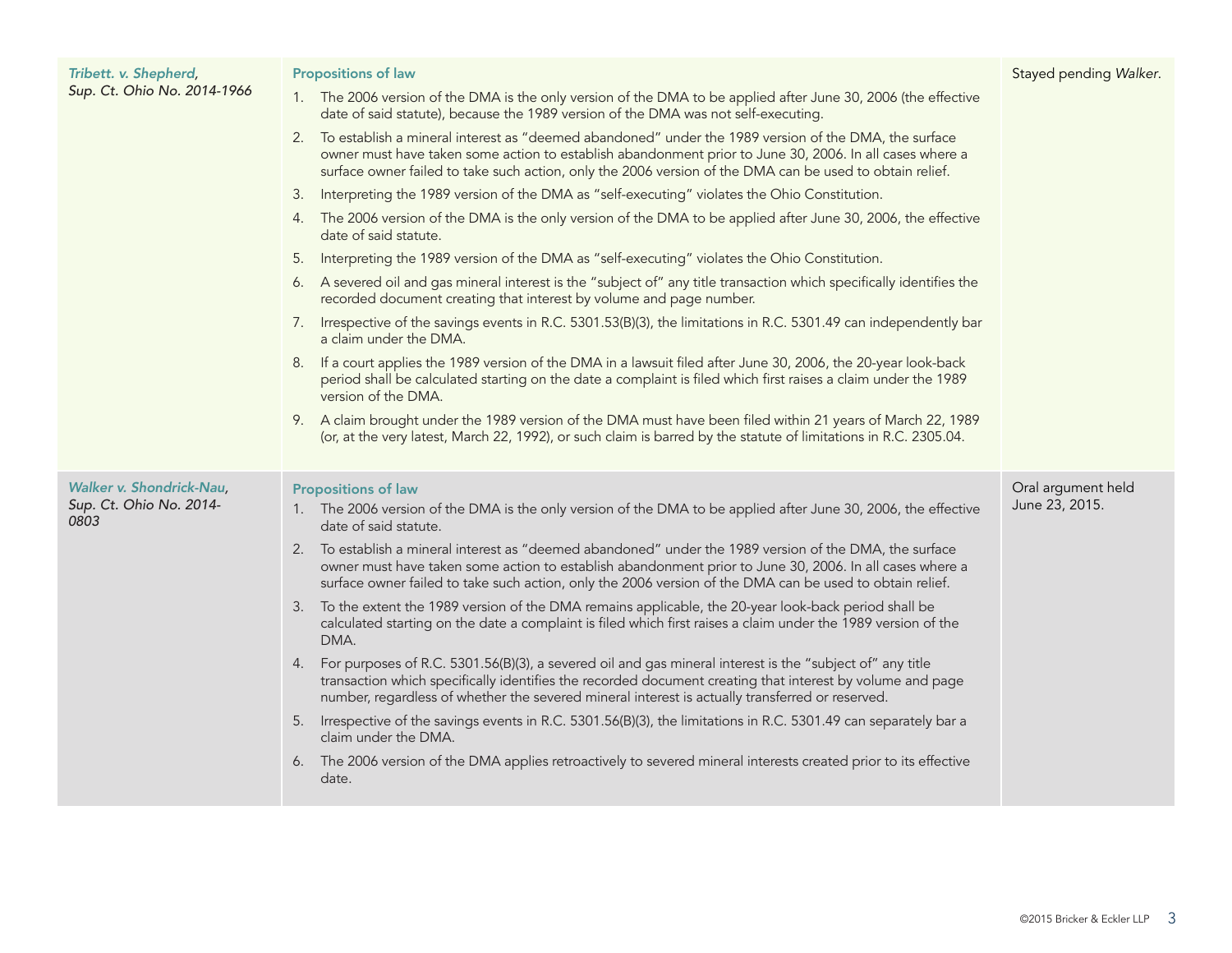| Tribett. v. Shepherd,<br>Sup. Ct. Ohio No. 2014-1966 | <b>Propositions of law</b>                                                                                                                                                                                                                                                                                                        | Stayed pending Walker.               |
|------------------------------------------------------|-----------------------------------------------------------------------------------------------------------------------------------------------------------------------------------------------------------------------------------------------------------------------------------------------------------------------------------|--------------------------------------|
|                                                      | 1. The 2006 version of the DMA is the only version of the DMA to be applied after June 30, 2006 (the effective<br>date of said statute), because the 1989 version of the DMA was not self-executing.                                                                                                                              |                                      |
|                                                      | To establish a mineral interest as "deemed abandoned" under the 1989 version of the DMA, the surface<br>2.<br>owner must have taken some action to establish abandonment prior to June 30, 2006. In all cases where a<br>surface owner failed to take such action, only the 2006 version of the DMA can be used to obtain relief. |                                      |
|                                                      | Interpreting the 1989 version of the DMA as "self-executing" violates the Ohio Constitution.<br>3.                                                                                                                                                                                                                                |                                      |
|                                                      | 4. The 2006 version of the DMA is the only version of the DMA to be applied after June 30, 2006, the effective<br>date of said statute.                                                                                                                                                                                           |                                      |
|                                                      | Interpreting the 1989 version of the DMA as "self-executing" violates the Ohio Constitution.<br>5.                                                                                                                                                                                                                                |                                      |
|                                                      | 6. A severed oil and gas mineral interest is the "subject of" any title transaction which specifically identifies the<br>recorded document creating that interest by volume and page number.                                                                                                                                      |                                      |
|                                                      | 7. Irrespective of the savings events in R.C. 5301.53(B)(3), the limitations in R.C. 5301.49 can independently bar<br>a claim under the DMA.                                                                                                                                                                                      |                                      |
|                                                      | 8. If a court applies the 1989 version of the DMA in a lawsuit filed after June 30, 2006, the 20-year look-back<br>period shall be calculated starting on the date a complaint is filed which first raises a claim under the 1989<br>version of the DMA.                                                                          |                                      |
|                                                      | 9. A claim brought under the 1989 version of the DMA must have been filed within 21 years of March 22, 1989<br>(or, at the very latest, March 22, 1992), or such claim is barred by the statute of limitations in R.C. 2305.04.                                                                                                   |                                      |
| Walker v. Shondrick-Nau,<br>Sup. Ct. Ohio No. 2014-  | <b>Propositions of law</b><br>1. The 2006 version of the DMA is the only version of the DMA to be applied after June 30, 2006, the effective                                                                                                                                                                                      | Oral argument held<br>June 23, 2015. |
| 0803                                                 | date of said statute.                                                                                                                                                                                                                                                                                                             |                                      |
|                                                      | 2. To establish a mineral interest as "deemed abandoned" under the 1989 version of the DMA, the surface<br>owner must have taken some action to establish abandonment prior to June 30, 2006. In all cases where a<br>surface owner failed to take such action, only the 2006 version of the DMA can be used to obtain relief.    |                                      |
|                                                      | To the extent the 1989 version of the DMA remains applicable, the 20-year look-back period shall be<br>3.<br>calculated starting on the date a complaint is filed which first raises a claim under the 1989 version of the<br>DMA.                                                                                                |                                      |
|                                                      | For purposes of R.C. 5301.56(B)(3), a severed oil and gas mineral interest is the "subject of" any title<br>4.<br>transaction which specifically identifies the recorded document creating that interest by volume and page<br>number, regardless of whether the severed mineral interest is actually transferred or reserved.    |                                      |
|                                                      | 5. Irrespective of the savings events in R.C. 5301.56(B)(3), the limitations in R.C. 5301.49 can separately bar a<br>claim under the DMA.                                                                                                                                                                                         |                                      |
|                                                      | 6. The 2006 version of the DMA applies retroactively to severed mineral interests created prior to its effective<br>date.                                                                                                                                                                                                         |                                      |